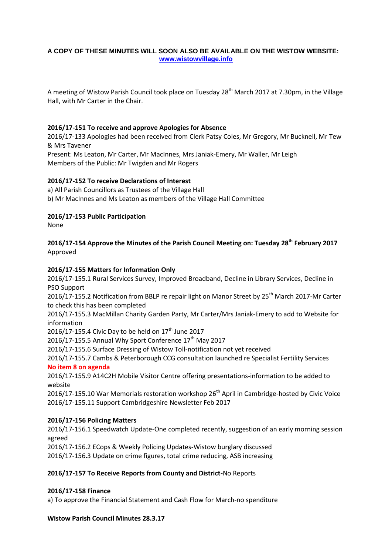### **A COPY OF THESE MINUTES WILL SOON ALSO BE AVAILABLE ON THE WISTOW WEBSITE: [www.wistowvillage.info](http://www.wistowvillage.info/)**

A meeting of Wistow Parish Council took place on Tuesday 28<sup>th</sup> March 2017 at 7.30pm, in the Village Hall, with Mr Carter in the Chair.

### **2016/17-151 To receive and approve Apologies for Absence**

2016/17-133 Apologies had been received from Clerk Patsy Coles, Mr Gregory, Mr Bucknell, Mr Tew & Mrs Tavener

Present: Ms Leaton, Mr Carter, Mr MacInnes, Mrs Janiak-Emery, Mr Waller, Mr Leigh Members of the Public: Mr Twigden and Mr Rogers

### **2016/17-152 To receive Declarations of Interest**

a) All Parish Councillors as Trustees of the Village Hall

b) Mr MacInnes and Ms Leaton as members of the Village Hall Committee

### **2016/17-153 Public Participation**

None

## **2016/17-154 Approve the Minutes of the Parish Council Meeting on: Tuesday 28th February 2017** Approved

## **2016/17-155 Matters for Information Only**

2016/17-155.1 Rural Services Survey, Improved Broadband, Decline in Library Services, Decline in PSO Support

2016/17-155.2 Notification from BBLP re repair light on Manor Street by 25<sup>th</sup> March 2017-Mr Carter to check this has been completed

2016/17-155.3 MacMillan Charity Garden Party, Mr Carter/Mrs Janiak-Emery to add to Website for information

2016/17-155.4 Civic Day to be held on  $17<sup>th</sup>$  June 2017

2016/17-155.5 Annual Why Sport Conference  $17<sup>th</sup>$  May 2017

2016/17-155.6 Surface Dressing of Wistow Toll-notification not yet received

2016/17-155.7 Cambs & Peterborough CCG consultation launched re Specialist Fertility Services **No item 8 on agenda**

2016/17-155.9 A14C2H Mobile Visitor Centre offering presentations-information to be added to website

2016/17-155.10 War Memorials restoration workshop 26<sup>th</sup> April in Cambridge-hosted by Civic Voice 2016/17-155.11 Support Cambridgeshire Newsletter Feb 2017

## **2016/17-156 Policing Matters**

2016/17-156.1 Speedwatch Update-One completed recently, suggestion of an early morning session agreed

2016/17-156.2 ECops & Weekly Policing Updates-Wistow burglary discussed 2016/17-156.3 Update on crime figures, total crime reducing, ASB increasing

## **2016/17-157 To Receive Reports from County and District-**No Reports

### **2016/17-158 Finance**

a) To approve the Financial Statement and Cash Flow for March-no spenditure

### **Wistow Parish Council Minutes 28.3.17**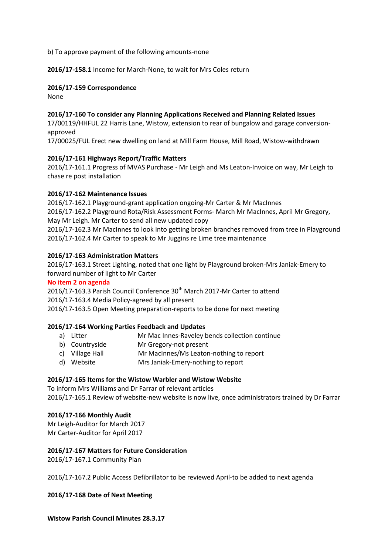b) To approve payment of the following amounts-none

**2016/17-158.1** Income for March-None, to wait for Mrs Coles return

#### **2016/17-159 Correspondence**

None

### **2016/17-160 To consider any Planning Applications Received and Planning Related Issues**

17/00119/HHFUL 22 Harris Lane, Wistow, extension to rear of bungalow and garage conversionapproved

17/00025/FUL Erect new dwelling on land at Mill Farm House, Mill Road, Wistow-withdrawn

### **2016/17-161 Highways Report/Traffic Matters**

2016/17-161.1 Progress of MVAS Purchase - Mr Leigh and Ms Leaton-Invoice on way, Mr Leigh to chase re post installation

### **2016/17-162 Maintenance Issues**

2016/17-162.1 Playground-grant application ongoing-Mr Carter & Mr MacInnes 2016/17-162.2 Playground Rota/Risk Assessment Forms- March Mr MacInnes, April Mr Gregory, May Mr Leigh. Mr Carter to send all new updated copy 2016/17-162.3 Mr MacInnes to look into getting broken branches removed from tree in Playground 2016/17-162.4 Mr Carter to speak to Mr Juggins re Lime tree maintenance

#### **2016/17-163 Administration Matters**

2016/17-163.1 Street Lighting, noted that one light by Playground broken-Mrs Janiak-Emery to forward number of light to Mr Carter

### **No item 2 on agenda**

2016/17-163.3 Parish Council Conference 30<sup>th</sup> March 2017-Mr Carter to attend 2016/17-163.4 Media Policy-agreed by all present

2016/17-163.5 Open Meeting preparation-reports to be done for next meeting

### **2016/17-164 Working Parties Feedback and Updates**

- a) Litter Mr Mac Innes-Raveley bends collection continue
- b) Countryside Mr Gregory-not present
- c) Village Hall Mr MacInnes/Ms Leaton-nothing to report
- d) Website Mrs Janiak-Emery-nothing to report

### **2016/17-165 Items for the Wistow Warbler and Wistow Website**

To inform Mrs Williams and Dr Farrar of relevant articles 2016/17-165.1 Review of website-new website is now live, once administrators trained by Dr Farrar

### **2016/17-166 Monthly Audit**

Mr Leigh-Auditor for March 2017 Mr Carter-Auditor for April 2017

### **2016/17-167 Matters for Future Consideration**

2016/17-167.1 Community Plan

2016/17-167.2 Public Access Defibrillator to be reviewed April-to be added to next agenda

**2016/17-168 Date of Next Meeting**